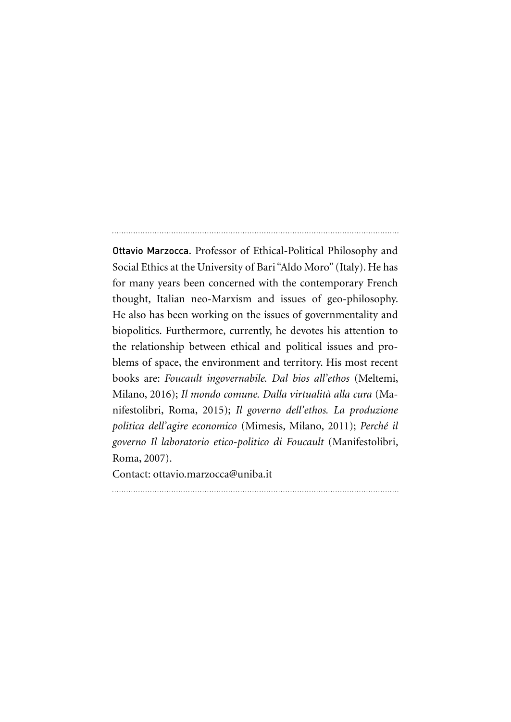Ottavio Marzocca. Professor of Ethical-Political Philosophy and Social Ethics at the University of Bari "Aldo Moro" (Italy). He has for many years been concerned with the contemporary French thought, Italian neo-Marxism and issues of geo-philosophy. He also has been working on the issues of governmentality and biopolitics. Furthermore, currently, he devotes his attention to the relationship between ethical and political issues and problems of space, the environment and territory. His most recent books are: *Foucault ingovernabile. Dal bios all'ethos* (Meltemi, Milano, 2016); *Il mondo comune. Dalla virtualità alla cura* (Manifestolibri, Roma, 2015); *Il governo dell'ethos. La produzione politica dell'agire economico* (Mimesis, Milano, 2011); *Perché il governo Il laboratorio etico-politico di Foucault* (Manifestolibri, Roma, 2007).

Contact: ottavio.marzocca@uniba.it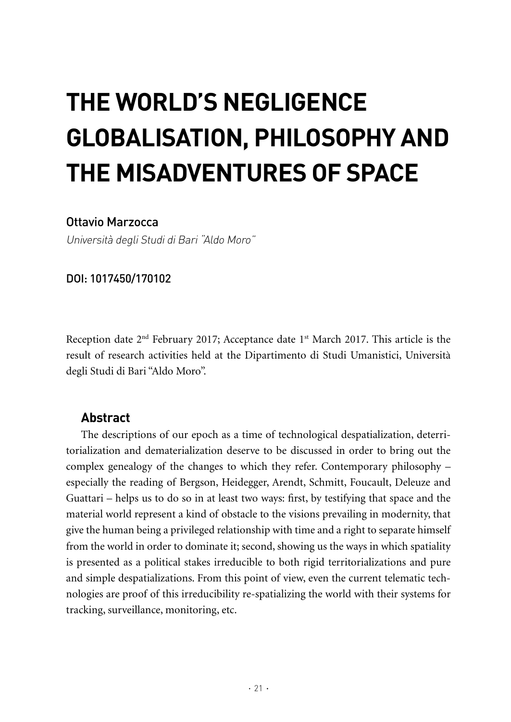# **THE WORLD'S NEGLIGENCE GLOBALISATION, PHILOSOPHY AND THE MISADVENTURES OF SPACE**

## Ottavio Marzocca

Università degli Studi di Bari "Aldo Moro"

DOI: 1017450/170102

Reception date  $2<sup>nd</sup>$  February 2017; Acceptance date 1<sup>st</sup> March 2017. This article is the result of research activities held at the Dipartimento di Studi Umanistici, Università degli Studi di Bari "Aldo Moro".

## **Abstract**

The descriptions of our epoch as a time of technological despatialization, deterritorialization and dematerialization deserve to be discussed in order to bring out the complex genealogy of the changes to which they refer. Contemporary philosophy – especially the reading of Bergson, Heidegger, Arendt, Schmitt, Foucault, Deleuze and Guattari – helps us to do so in at least two ways: first, by testifying that space and the material world represent a kind of obstacle to the visions prevailing in modernity, that give the human being a privileged relationship with time and a right to separate himself from the world in order to dominate it; second, showing us the ways in which spatiality is presented as a political stakes irreducible to both rigid territorializations and pure and simple despatializations. From this point of view, even the current telematic technologies are proof of this irreducibility re-spatializing the world with their systems for tracking, surveillance, monitoring, etc.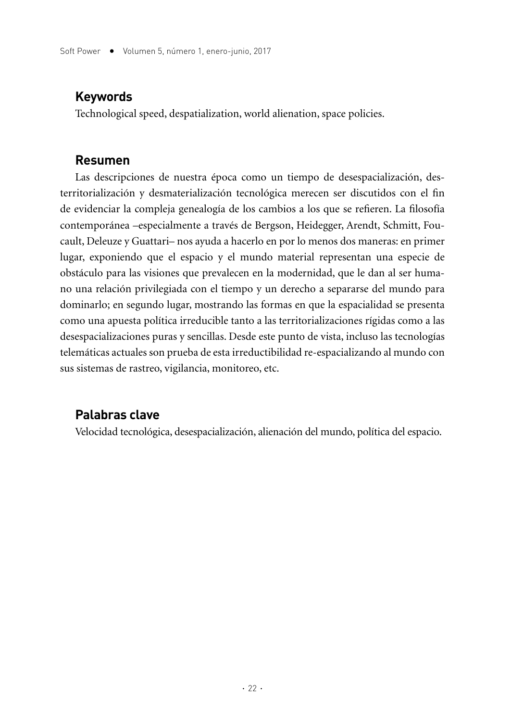## **Keywords**

Technological speed, despatialization, world alienation, space policies.

#### **Resumen**

Las descripciones de nuestra época como un tiempo de desespacialización, desterritorialización y desmaterialización tecnológica merecen ser discutidos con el fin de evidenciar la compleja genealogía de los cambios a los que se refieren. La filosofía contemporánea –especialmente a través de Bergson, Heidegger, Arendt, Schmitt, Foucault, Deleuze y Guattari– nos ayuda a hacerlo en por lo menos dos maneras: en primer lugar, exponiendo que el espacio y el mundo material representan una especie de obstáculo para las visiones que prevalecen en la modernidad, que le dan al ser humano una relación privilegiada con el tiempo y un derecho a separarse del mundo para dominarlo; en segundo lugar, mostrando las formas en que la espacialidad se presenta como una apuesta política irreducible tanto a las territorializaciones rígidas como a las desespacializaciones puras y sencillas. Desde este punto de vista, incluso las tecnologías telemáticas actuales son prueba de esta irreductibilidad re-espacializando al mundo con sus sistemas de rastreo, vigilancia, monitoreo, etc.

## **Palabras clave**

Velocidad tecnológica, desespacialización, alienación del mundo, política del espacio.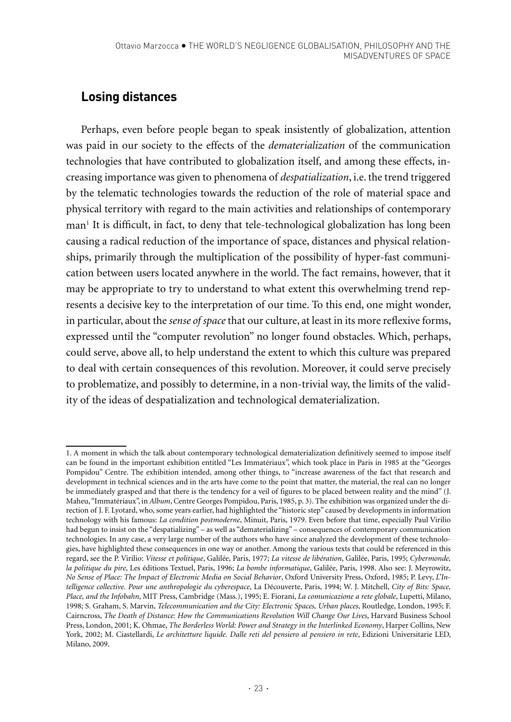# **Losing distances**

Perhaps, even before people began to speak insistently of globalization, attention was paid in our society to the effects of the *dematerialization* of the communication technologies that have contributed to globalization itself, and among these effects, increasing importance was given to phenomena of *despatialization*, i.e. the trend triggered by the telematic technologies towards the reduction of the role of material space and physical territory with regard to the main activities and relationships of contemporary man<sup>1</sup> It is difficult, in fact, to deny that tele-technological globalization has long been causing a radical reduction of the importance of space, distances and physical relationships, primarily through the multiplication of the possibility of hyper-fast communication between users located anywhere in the world. The fact remains, however, that it may be appropriate to try to understand to what extent this overwhelming trend represents a decisive key to the interpretation of our time. To this end, one might wonder, in particular, about the *sense of space* that our culture, at least in its more reflexive forms, expressed until the "computer revolution" no longer found obstacles. Which, perhaps, could serve, above all, to help understand the extent to which this culture was prepared to deal with certain consequences of this revolution. Moreover, it could serve precisely to problematize, and possibly to determine, in a non-trivial way, the limits of the validity of the ideas of despatialization and technological dematerialization.

<sup>1.</sup> A moment in which the talk about contemporary technological dematerialization definitively seemed to impose itself can be found in the important exhibition entitled "Les Immatériaux", which took place in Paris in 1985 at the "Georges Pompidou" Centre. The exhibition intended, among other things, to "increase awareness of the fact that research and development in technical sciences and in the arts have come to the point that matter, the material, the real can no longer be immediately grasped and that there is the tendency for a veil of figures to be placed between reality and the mind" (J. Maheu, "Immatériaux", in *Album*, Centre Georges Pompidou, Paris, 1985, p. 3). The exhibition was organized under the direction of J. F. Lyotard, who, some years earlier, had highlighted the "historic step" caused by developments in information technology with his famous: *La condition postmoderne*, Minuit, Paris, 1979. Even before that time, especially Paul Virilio had begun to insist on the "despatializing" – as well as "dematerializing" – consequences of contemporary communication technologies. In any case, a very large number of the authors who have since analyzed the development of these technologies, have highlighted these consequences in one way or another. Among the various texts that could be referenced in this regard, see the P. Virilio: *Vitesse et politique*, Galilée, Paris, 1977; *La vitesse de libération*, Galilée, Paris, 1995; *Cybermonde, la politique du pire*, Les éditions Textuel, Paris, 1996; *La bombe informatique*, Galilée, Paris, 1998. Also see: J. Meyrowitz, *No Sense of Place: The Impact of Electronic Media on Social Behavior*, Oxford University Press, Oxford, 1985; P. Levy, *L'Intelligence collective. Pour une anthropologie du cyberespace*, La Découverte, Paris, 1994; W. J. Mitchell, *City of Bits: Space, Place, and the Infobahn*, MIT Press, Cambridge (Mass.), 1995; E. Fiorani, *La comunicazione a rete globale*, Lupetti, Milano, 1998; S. Graham, S. Marvin, *Telecommunication and the City: Electronic Spaces, Urban places*, Routledge, London, 1995; F. Cairncross, *The Death of Distance: How the Communications Revolution Will Change Our Lives*, Harvard Business School Press, London, 2001; K. Ohmae, *The Borderless World: Power and Strategy in the Interlinked Economy*, Harper Collins, New York, 2002; M. Ciastellardi, *Le architetture liquide. Dalle reti del pensiero al pensiero in rete*, Edizioni Universitarie LED, Milano, 2009.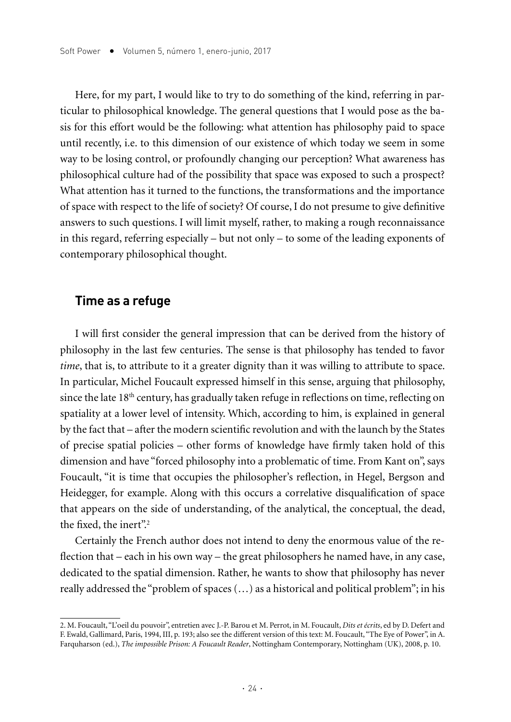Here, for my part, I would like to try to do something of the kind, referring in particular to philosophical knowledge. The general questions that I would pose as the basis for this effort would be the following: what attention has philosophy paid to space until recently, i.e. to this dimension of our existence of which today we seem in some way to be losing control, or profoundly changing our perception? What awareness has philosophical culture had of the possibility that space was exposed to such a prospect? What attention has it turned to the functions, the transformations and the importance of space with respect to the life of society? Of course, I do not presume to give definitive answers to such questions. I will limit myself, rather, to making a rough reconnaissance in this regard, referring especially – but not only – to some of the leading exponents of contemporary philosophical thought.

## **Time as a refuge**

I will first consider the general impression that can be derived from the history of philosophy in the last few centuries. The sense is that philosophy has tended to favor *time*, that is, to attribute to it a greater dignity than it was willing to attribute to space. In particular, Michel Foucault expressed himself in this sense, arguing that philosophy, since the late  $18<sup>th</sup>$  century, has gradually taken refuge in reflections on time, reflecting on spatiality at a lower level of intensity. Which, according to him, is explained in general by the fact that – after the modern scientific revolution and with the launch by the States of precise spatial policies – other forms of knowledge have firmly taken hold of this dimension and have "forced philosophy into a problematic of time. From Kant on", says Foucault, "it is time that occupies the philosopher's reflection, in Hegel, Bergson and Heidegger, for example. Along with this occurs a correlative disqualification of space that appears on the side of understanding, of the analytical, the conceptual, the dead, the fixed, the inert".<sup>2</sup>

Certainly the French author does not intend to deny the enormous value of the reflection that – each in his own way – the great philosophers he named have, in any case, dedicated to the spatial dimension. Rather, he wants to show that philosophy has never really addressed the "problem of spaces (…) as a historical and political problem"; in his

<sup>2.</sup> M. Foucault, "L'oeil du pouvoir", entretien avec J.-P. Barou et M. Perrot, in M. Foucault, *Dits et écrits*, ed by D. Defert and F. Ewald, Gallimard, Paris, 1994, III, p. 193; also see the different version of this text: M. Foucault, "The Eye of Power", in A. Farquharson (ed.), *The impossible Prison: A Foucault Reader*, Nottingham Contemporary, Nottingham (UK), 2008, p. 10.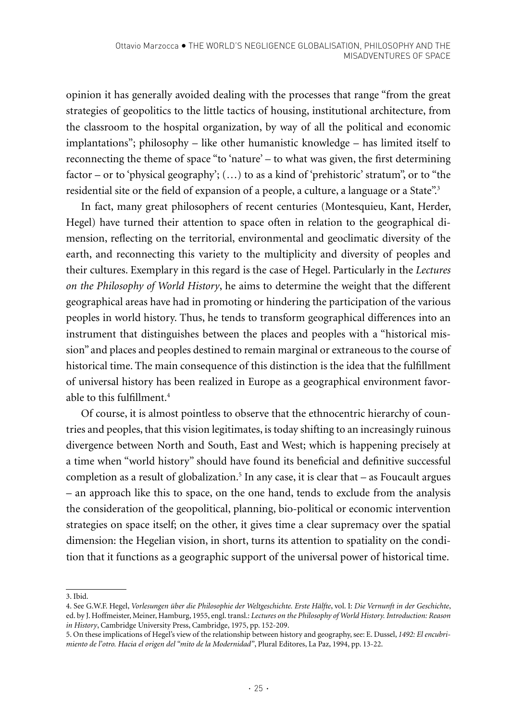opinion it has generally avoided dealing with the processes that range "from the great strategies of geopolitics to the little tactics of housing, institutional architecture, from the classroom to the hospital organization, by way of all the political and economic implantations"; philosophy – like other humanistic knowledge – has limited itself to reconnecting the theme of space "to 'nature' – to what was given, the first determining factor – or to 'physical geography'; (…) to as a kind of 'prehistoric' stratum", or to "the residential site or the field of expansion of a people, a culture, a language or a State".<sup>3</sup>

In fact, many great philosophers of recent centuries (Montesquieu, Kant, Herder, Hegel) have turned their attention to space often in relation to the geographical dimension, reflecting on the territorial, environmental and geoclimatic diversity of the earth, and reconnecting this variety to the multiplicity and diversity of peoples and their cultures. Exemplary in this regard is the case of Hegel. Particularly in the *Lectures on the Philosophy of World History*, he aims to determine the weight that the different geographical areas have had in promoting or hindering the participation of the various peoples in world history. Thus, he tends to transform geographical differences into an instrument that distinguishes between the places and peoples with a "historical mission" and places and peoples destined to remain marginal or extraneous to the course of historical time. The main consequence of this distinction is the idea that the fulfillment of universal history has been realized in Europe as a geographical environment favorable to this fulfillment.4

Of course, it is almost pointless to observe that the ethnocentric hierarchy of countries and peoples, that this vision legitimates, is today shifting to an increasingly ruinous divergence between North and South, East and West; which is happening precisely at a time when "world history" should have found its beneficial and definitive successful completion as a result of globalization.<sup>5</sup> In any case, it is clear that  $-$  as Foucault argues – an approach like this to space, on the one hand, tends to exclude from the analysis the consideration of the geopolitical, planning, bio-political or economic intervention strategies on space itself; on the other, it gives time a clear supremacy over the spatial dimension: the Hegelian vision, in short, turns its attention to spatiality on the condition that it functions as a geographic support of the universal power of historical time.

<sup>3.</sup> Ibid.

<sup>4.</sup> See G.W.F. Hegel, *Vorlesungen über die Philosophie der Weltgeschichte. Erste Hälfte*, vol. I: *Die Vernunft in der Geschichte*, ed. by J. Hoffmeister, Meiner, Hamburg, 1955, engl. transl.: *Lectures on the Philosophy of World History. Introduction: Reason in History*, Cambridge University Press, Cambridge, 1975, pp. 152-209.

<sup>5.</sup> On these implications of Hegel's view of the relationship between history and geography, see: E. Dussel, *1492: El encubrimiento de l'otro. Hacia el origen del "mito de la Modernidad"*, Plural Editores, La Paz, 1994, pp. 13-22.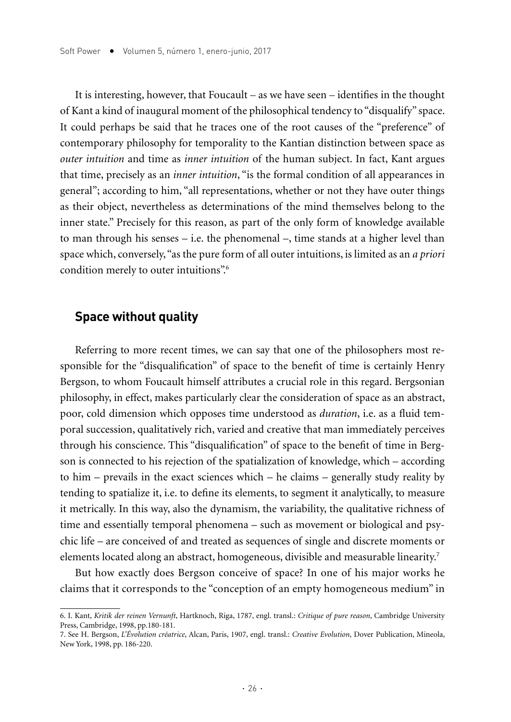It is interesting, however, that Foucault – as we have seen – identifies in the thought of Kant a kind of inaugural moment of the philosophical tendency to "disqualify" space. It could perhaps be said that he traces one of the root causes of the "preference" of contemporary philosophy for temporality to the Kantian distinction between space as *outer intuition* and time as *inner intuition* of the human subject. In fact, Kant argues that time, precisely as an *inner intuition*, "is the formal condition of all appearances in general"; according to him, "all representations, whether or not they have outer things as their object, nevertheless as determinations of the mind themselves belong to the inner state." Precisely for this reason, as part of the only form of knowledge available to man through his senses  $-$  i.e. the phenomenal  $-$ , time stands at a higher level than space which, conversely, "as the pure form of all outer intuitions, is limited as an *a priori* condition merely to outer intuitions".6

## **Space without quality**

Referring to more recent times, we can say that one of the philosophers most responsible for the "disqualification" of space to the benefit of time is certainly Henry Bergson, to whom Foucault himself attributes a crucial role in this regard. Bergsonian philosophy, in effect, makes particularly clear the consideration of space as an abstract, poor, cold dimension which opposes time understood as *duration*, i.e. as a fluid temporal succession, qualitatively rich, varied and creative that man immediately perceives through his conscience. This "disqualification" of space to the benefit of time in Bergson is connected to his rejection of the spatialization of knowledge, which – according to him – prevails in the exact sciences which – he claims – generally study reality by tending to spatialize it, i.e. to define its elements, to segment it analytically, to measure it metrically. In this way, also the dynamism, the variability, the qualitative richness of time and essentially temporal phenomena – such as movement or biological and psychic life – are conceived of and treated as sequences of single and discrete moments or elements located along an abstract, homogeneous, divisible and measurable linearity.<sup>7</sup>

But how exactly does Bergson conceive of space? In one of his major works he claims that it corresponds to the "conception of an empty homogeneous medium" in

<sup>6.</sup> I. Kant, *Kritik der reinen Vernunft*, Hartknoch, Riga, 1787, engl. transl.: *Critique of pure reason*, Cambridge University Press, Cambridge, 1998, pp.180-181.

<sup>7.</sup> See H. Bergson, *L'Évolution créatrice*, Alcan, Paris, 1907, engl. transl.: *Creative Evolution*, Dover Publication, Mineola, New York, 1998, pp. 186-220.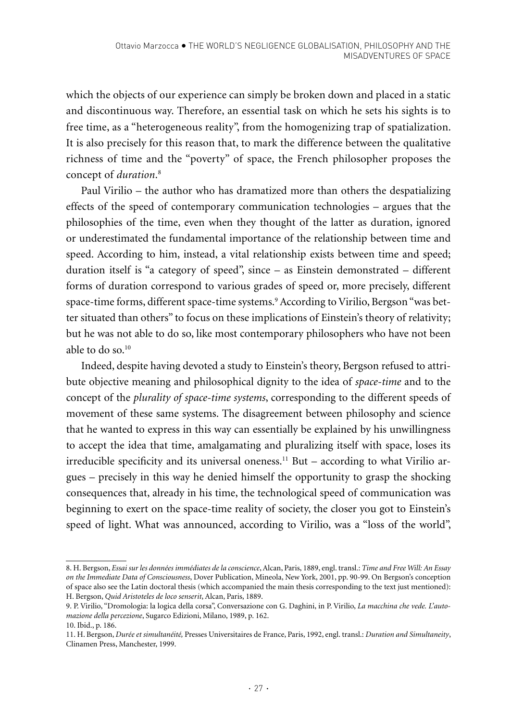which the objects of our experience can simply be broken down and placed in a static and discontinuous way. Therefore, an essential task on which he sets his sights is to free time, as a "heterogeneous reality", from the homogenizing trap of spatialization. It is also precisely for this reason that, to mark the difference between the qualitative richness of time and the "poverty" of space, the French philosopher proposes the concept of *duration*. 8

Paul Virilio – the author who has dramatized more than others the despatializing effects of the speed of contemporary communication technologies – argues that the philosophies of the time, even when they thought of the latter as duration, ignored or underestimated the fundamental importance of the relationship between time and speed. According to him, instead, a vital relationship exists between time and speed; duration itself is "a category of speed", since – as Einstein demonstrated – different forms of duration correspond to various grades of speed or, more precisely, different space-time forms, different space-time systems.9 According to Virilio, Bergson "was better situated than others" to focus on these implications of Einstein's theory of relativity; but he was not able to do so, like most contemporary philosophers who have not been able to do so.10

Indeed, despite having devoted a study to Einstein's theory, Bergson refused to attribute objective meaning and philosophical dignity to the idea of *space-time* and to the concept of the *plurality of space-time systems*, corresponding to the different speeds of movement of these same systems. The disagreement between philosophy and science that he wanted to express in this way can essentially be explained by his unwillingness to accept the idea that time, amalgamating and pluralizing itself with space, loses its irreducible specificity and its universal oneness.<sup>11</sup> But  $-$  according to what Virilio argues – precisely in this way he denied himself the opportunity to grasp the shocking consequences that, already in his time, the technological speed of communication was beginning to exert on the space-time reality of society, the closer you got to Einstein's speed of light. What was announced, according to Virilio, was a "loss of the world",

<sup>8.</sup> H. Bergson, *Essai sur les données immédiates de la conscience*, Alcan, Paris, 1889, engl. transl.: *Time and Free Will: An Essay on the Immediate Data of Consciousness*, Dover Publication, Mineola, New York, 2001, pp. 90-99. On Bergson's conception of space also see the Latin doctoral thesis (which accompanied the main thesis corresponding to the text just mentioned): H. Bergson, *Quid Aristoteles de loco senserit*, Alcan, Paris, 1889.

<sup>9.</sup> P. Virilio, "Dromologia: la logica della corsa", Conversazione con G. Daghini, in P. Virilio, *La macchina che vede. L'automazione della percezione*, Sugarco Edizioni, Milano, 1989, p. 162.

<sup>10.</sup> Ibid., p. 186.

<sup>11.</sup> H. Bergson, *Durée et simultanéité,* Presses Universitaires de France, Paris, 1992, engl. transl.: *Duration and Simultaneity*, Clinamen Press, Manchester, 1999.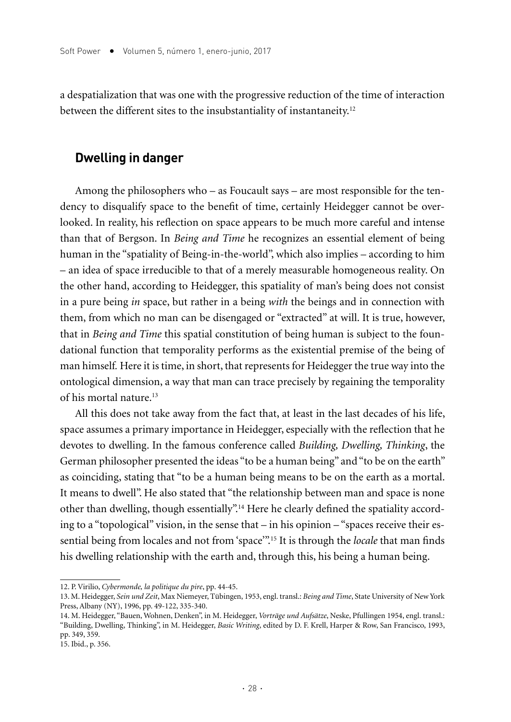a despatialization that was one with the progressive reduction of the time of interaction between the different sites to the insubstantiality of instantaneity.<sup>12</sup>

#### **Dwelling in danger**

Among the philosophers who – as Foucault says – are most responsible for the tendency to disqualify space to the benefit of time, certainly Heidegger cannot be overlooked. In reality, his reflection on space appears to be much more careful and intense than that of Bergson. In *Being and Time* he recognizes an essential element of being human in the "spatiality of Being-in-the-world", which also implies – according to him – an idea of space irreducible to that of a merely measurable homogeneous reality. On the other hand, according to Heidegger, this spatiality of man's being does not consist in a pure being *in* space, but rather in a being *with* the beings and in connection with them, from which no man can be disengaged or "extracted" at will. It is true, however, that in *Being and Time* this spatial constitution of being human is subject to the foundational function that temporality performs as the existential premise of the being of man himself*.* Here it is time, in short, that represents for Heidegger the true way into the ontological dimension, a way that man can trace precisely by regaining the temporality of his mortal nature<sup>13</sup>

All this does not take away from the fact that, at least in the last decades of his life, space assumes a primary importance in Heidegger, especially with the reflection that he devotes to dwelling. In the famous conference called *Building, Dwelling, Thinking*, the German philosopher presented the ideas "to be a human being" and "to be on the earth" as coinciding, stating that "to be a human being means to be on the earth as a mortal. It means to dwell". He also stated that "the relationship between man and space is none other than dwelling, though essentially".14 Here he clearly defined the spatiality according to a "topological" vision, in the sense that – in his opinion – "spaces receive their essential being from locales and not from 'space'".15 It is through the *locale* that man finds his dwelling relationship with the earth and, through this, his being a human being.

<sup>12.</sup> P. Virilio, *Cybermonde, la politique du pire*, pp. 44-45.

<sup>13.</sup> M. Heidegger, *Sein und Zeit*, Max Niemeyer, Tübingen, 1953, engl. transl.: *Being and Time*, State University of New York Press, Albany (NY), 1996, pp. 49-122, 335-340.

<sup>14.</sup> M. Heidegger, "Bauen, Wohnen, Denken", in M. Heidegger, *Vorträge und Aufsätze*, Neske, Pfullingen 1954, engl. transl.: "Building, Dwelling, Thinking", in M. Heidegger, *Basic Writing*, edited by D. F. Krell, Harper & Row, San Francisco, 1993, pp. 349, 359.

<sup>15.</sup> Ibid., p. 356.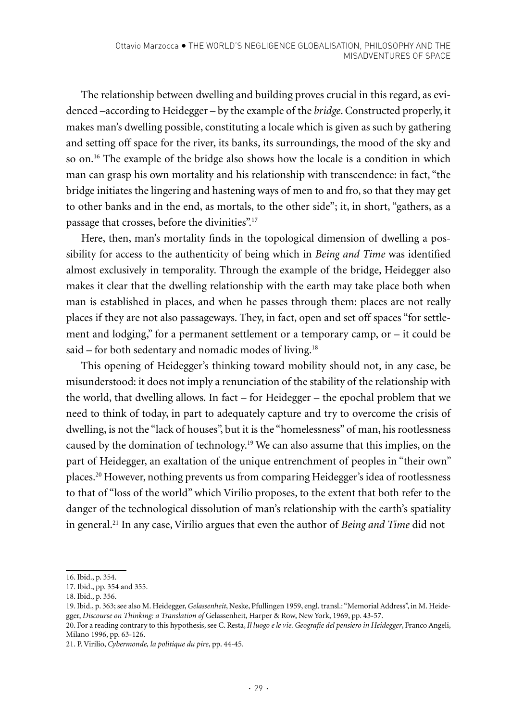The relationship between dwelling and building proves crucial in this regard, as evidenced –according to Heidegger – by the example of the *bridge*. Constructed properly, it makes man's dwelling possible, constituting a locale which is given as such by gathering and setting off space for the river, its banks, its surroundings, the mood of the sky and so on.16 The example of the bridge also shows how the locale is a condition in which man can grasp his own mortality and his relationship with transcendence: in fact, "the bridge initiates the lingering and hastening ways of men to and fro, so that they may get to other banks and in the end, as mortals, to the other side"; it, in short, "gathers, as a passage that crosses, before the divinities".17

Here, then, man's mortality finds in the topological dimension of dwelling a possibility for access to the authenticity of being which in *Being and Time* was identified almost exclusively in temporality. Through the example of the bridge, Heidegger also makes it clear that the dwelling relationship with the earth may take place both when man is established in places, and when he passes through them: places are not really places if they are not also passageways. They, in fact, open and set off spaces "for settlement and lodging," for a permanent settlement or a temporary camp, or – it could be said – for both sedentary and nomadic modes of living.<sup>18</sup>

This opening of Heidegger's thinking toward mobility should not, in any case, be misunderstood: it does not imply a renunciation of the stability of the relationship with the world, that dwelling allows. In fact – for Heidegger – the epochal problem that we need to think of today, in part to adequately capture and try to overcome the crisis of dwelling, is not the "lack of houses", but it is the "homelessness" of man, his rootlessness caused by the domination of technology.19 We can also assume that this implies, on the part of Heidegger, an exaltation of the unique entrenchment of peoples in "their own" places.20 However, nothing prevents us from comparing Heidegger's idea of rootlessness to that of "loss of the world" which Virilio proposes, to the extent that both refer to the danger of the technological dissolution of man's relationship with the earth's spatiality in general.21 In any case, Virilio argues that even the author of *Being and Time* did not

<sup>16.</sup> Ibid., p. 354.

<sup>17.</sup> Ibid., pp. 354 and 355.

<sup>18.</sup> Ibid., p. 356.

<sup>19.</sup> Ibid., p. 363; see also M. Heidegger, *Gelassenheit*, Neske, Pfullingen 1959, engl. transl.: "Memorial Address", in M. Heidegger, *Discourse on Thinking: a Translation of* Gelassenheit, Harper & Row, New York, 1969, pp. 43-57.

<sup>20.</sup> For a reading contrary to this hypothesis, see C. Resta, *Il luogo e le vie. Geografie del pensiero in Heidegger*, Franco Angeli, Milano 1996, pp. 63-126.

<sup>21.</sup> P. Virilio, *Cybermonde, la politique du pire*, pp. 44-45.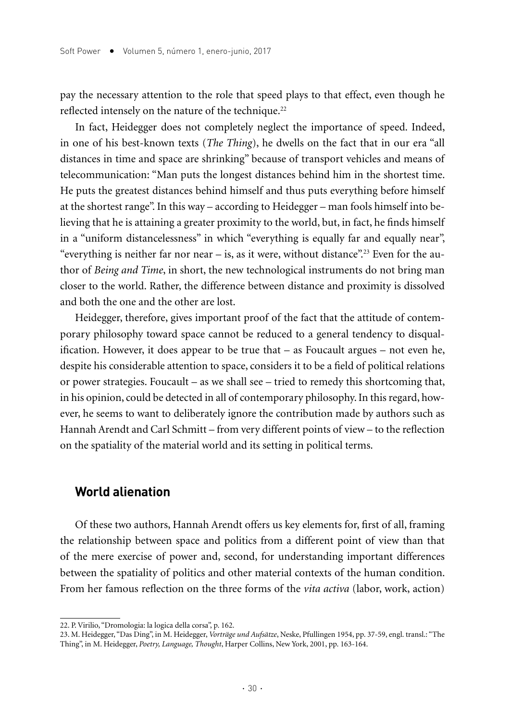pay the necessary attention to the role that speed plays to that effect, even though he reflected intensely on the nature of the technique.<sup>22</sup>

In fact, Heidegger does not completely neglect the importance of speed. Indeed, in one of his best-known texts (*The Thing*), he dwells on the fact that in our era "all distances in time and space are shrinking" because of transport vehicles and means of telecommunication: "Man puts the longest distances behind him in the shortest time. He puts the greatest distances behind himself and thus puts everything before himself at the shortest range". In this way – according to Heidegger – man fools himself into believing that he is attaining a greater proximity to the world, but, in fact, he finds himself in a "uniform distancelessness" in which "everything is equally far and equally near", "everything is neither far nor near – is, as it were, without distance".<sup>23</sup> Even for the author of *Being and Time*, in short, the new technological instruments do not bring man closer to the world. Rather, the difference between distance and proximity is dissolved and both the one and the other are lost.

Heidegger, therefore, gives important proof of the fact that the attitude of contemporary philosophy toward space cannot be reduced to a general tendency to disqualification. However, it does appear to be true that – as Foucault argues – not even he, despite his considerable attention to space, considers it to be a field of political relations or power strategies. Foucault – as we shall see – tried to remedy this shortcoming that, in his opinion, could be detected in all of contemporary philosophy. In this regard, however, he seems to want to deliberately ignore the contribution made by authors such as Hannah Arendt and Carl Schmitt – from very different points of view – to the reflection on the spatiality of the material world and its setting in political terms.

#### **World alienation**

Of these two authors, Hannah Arendt offers us key elements for, first of all, framing the relationship between space and politics from a different point of view than that of the mere exercise of power and, second, for understanding important differences between the spatiality of politics and other material contexts of the human condition. From her famous reflection on the three forms of the *vita activa* (labor, work, action)

<sup>22.</sup> P. Virilio, "Dromologia: la logica della corsa", p. 162.

<sup>23.</sup> M. Heidegger, "Das Ding", in M. Heidegger, *Vorträge und Aufsätze*, Neske, Pfullingen 1954, pp. 37-59, engl. transl.: "The Thing", in M. Heidegger, *Poetry, Language, Thought*, Harper Collins, New York, 2001, pp. 163-164.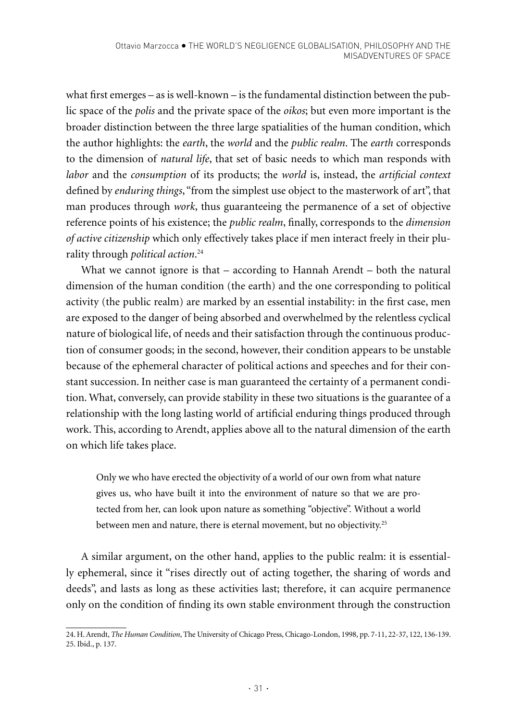what first emerges – as is well-known – is the fundamental distinction between the public space of the *polis* and the private space of the *oikos*; but even more important is the broader distinction between the three large spatialities of the human condition, which the author highlights: the *earth*, the *world* and the *public realm*. The *earth* corresponds to the dimension of *natural life*, that set of basic needs to which man responds with *labor* and the *consumption* of its products; the *world* is, instead, the *artificial context* defined by *enduring things*, "from the simplest use object to the masterwork of art", that man produces through *work*, thus guaranteeing the permanence of a set of objective reference points of his existence; the *public realm*, finally, corresponds to the *dimension of active citizenship* which only effectively takes place if men interact freely in their plurality through *political action*. 24

What we cannot ignore is that – according to Hannah Arendt – both the natural dimension of the human condition (the earth) and the one corresponding to political activity (the public realm) are marked by an essential instability: in the first case, men are exposed to the danger of being absorbed and overwhelmed by the relentless cyclical nature of biological life, of needs and their satisfaction through the continuous production of consumer goods; in the second, however, their condition appears to be unstable because of the ephemeral character of political actions and speeches and for their constant succession. In neither case is man guaranteed the certainty of a permanent condition. What, conversely, can provide stability in these two situations is the guarantee of a relationship with the long lasting world of artificial enduring things produced through work. This, according to Arendt, applies above all to the natural dimension of the earth on which life takes place.

Only we who have erected the objectivity of a world of our own from what nature gives us, who have built it into the environment of nature so that we are protected from her, can look upon nature as something "objective". Without a world between men and nature, there is eternal movement, but no objectivity.25

A similar argument, on the other hand, applies to the public realm: it is essentially ephemeral, since it "rises directly out of acting together, the sharing of words and deeds", and lasts as long as these activities last; therefore, it can acquire permanence only on the condition of finding its own stable environment through the construction

<sup>24.</sup> H. Arendt, *The Human Condition*, The University of Chicago Press, Chicago-London, 1998, pp. 7-11, 22-37, 122, 136-139. 25. Ibid., p. 137.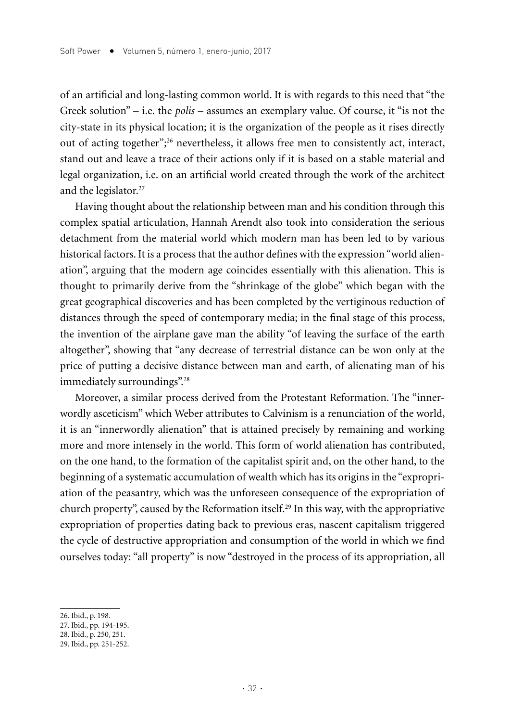of an artificial and long-lasting common world. It is with regards to this need that "the Greek solution" – i.e. the *polis* – assumes an exemplary value. Of course, it "is not the city-state in its physical location; it is the organization of the people as it rises directly out of acting together";26 nevertheless, it allows free men to consistently act, interact, stand out and leave a trace of their actions only if it is based on a stable material and legal organization, i.e. on an artificial world created through the work of the architect and the legislator.<sup>27</sup>

Having thought about the relationship between man and his condition through this complex spatial articulation, Hannah Arendt also took into consideration the serious detachment from the material world which modern man has been led to by various historical factors. It is a process that the author defines with the expression "world alienation", arguing that the modern age coincides essentially with this alienation. This is thought to primarily derive from the "shrinkage of the globe" which began with the great geographical discoveries and has been completed by the vertiginous reduction of distances through the speed of contemporary media; in the final stage of this process, the invention of the airplane gave man the ability "of leaving the surface of the earth altogether", showing that "any decrease of terrestrial distance can be won only at the price of putting a decisive distance between man and earth, of alienating man of his immediately surroundings".<sup>28</sup>

Moreover, a similar process derived from the Protestant Reformation. The "innerwordly asceticism" which Weber attributes to Calvinism is a renunciation of the world, it is an "innerwordly alienation" that is attained precisely by remaining and working more and more intensely in the world. This form of world alienation has contributed, on the one hand, to the formation of the capitalist spirit and, on the other hand, to the beginning of a systematic accumulation of wealth which has its origins in the "expropriation of the peasantry, which was the unforeseen consequence of the expropriation of church property", caused by the Reformation itself.<sup>29</sup> In this way, with the appropriative expropriation of properties dating back to previous eras, nascent capitalism triggered the cycle of destructive appropriation and consumption of the world in which we find ourselves today: "all property" is now "destroyed in the process of its appropriation, all

<sup>26.</sup> Ibid., p. 198.

<sup>27.</sup> Ibid., pp. 194-195.

<sup>28.</sup> Ibid., p. 250, 251.

<sup>29.</sup> Ibid., pp. 251-252.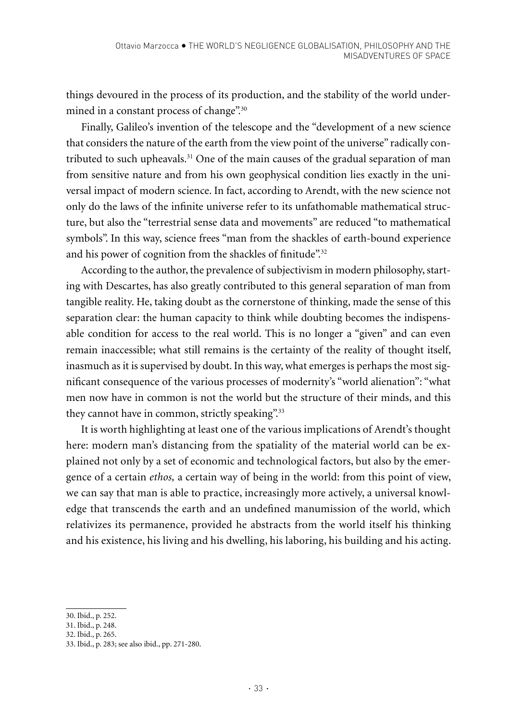things devoured in the process of its production, and the stability of the world undermined in a constant process of change".<sup>30</sup>

Finally, Galileo's invention of the telescope and the "development of a new science that considers the nature of the earth from the view point of the universe" radically contributed to such upheavals.<sup>31</sup> One of the main causes of the gradual separation of man from sensitive nature and from his own geophysical condition lies exactly in the universal impact of modern science. In fact, according to Arendt, with the new science not only do the laws of the infinite universe refer to its unfathomable mathematical structure, but also the "terrestrial sense data and movements" are reduced "to mathematical symbols". In this way, science frees "man from the shackles of earth-bound experience and his power of cognition from the shackles of finitude".<sup>32</sup>

According to the author, the prevalence of subjectivism in modern philosophy, starting with Descartes, has also greatly contributed to this general separation of man from tangible reality. He, taking doubt as the cornerstone of thinking, made the sense of this separation clear: the human capacity to think while doubting becomes the indispensable condition for access to the real world. This is no longer a "given" and can even remain inaccessible; what still remains is the certainty of the reality of thought itself, inasmuch as it is supervised by doubt. In this way, what emerges is perhaps the most significant consequence of the various processes of modernity's "world alienation": "what men now have in common is not the world but the structure of their minds, and this they cannot have in common, strictly speaking".<sup>33</sup>

It is worth highlighting at least one of the various implications of Arendt's thought here: modern man's distancing from the spatiality of the material world can be explained not only by a set of economic and technological factors, but also by the emergence of a certain *ethos,* a certain way of being in the world: from this point of view, we can say that man is able to practice, increasingly more actively, a universal knowledge that transcends the earth and an undefined manumission of the world, which relativizes its permanence, provided he abstracts from the world itself his thinking and his existence, his living and his dwelling, his laboring, his building and his acting.

32. Ibid., p. 265.

<sup>30.</sup> Ibid., p. 252.

<sup>31.</sup> Ibid., p. 248.

<sup>33.</sup> Ibid., p. 283; see also ibid., pp. 271-280.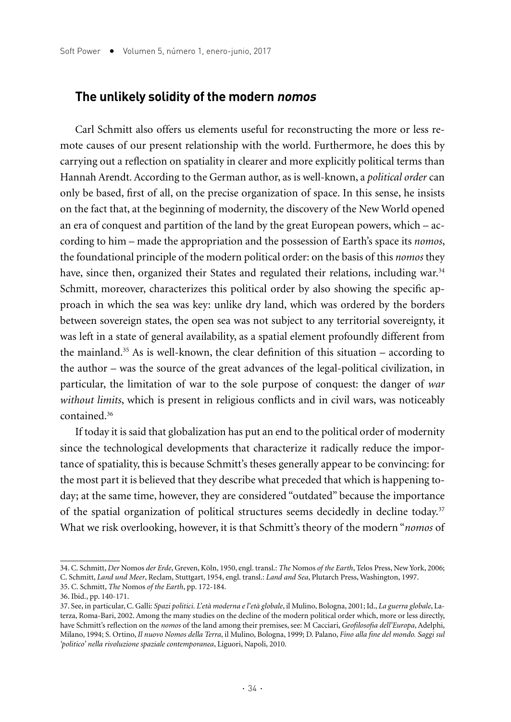#### **The unlikely solidity of the modern nomos**

Carl Schmitt also offers us elements useful for reconstructing the more or less remote causes of our present relationship with the world. Furthermore, he does this by carrying out a reflection on spatiality in clearer and more explicitly political terms than Hannah Arendt. According to the German author, as is well-known, a *political order* can only be based, first of all, on the precise organization of space. In this sense, he insists on the fact that, at the beginning of modernity, the discovery of the New World opened an era of conquest and partition of the land by the great European powers, which – according to him – made the appropriation and the possession of Earth's space its *nomos*, the foundational principle of the modern political order: on the basis of this *nomos* they have, since then, organized their States and regulated their relations, including war.<sup>34</sup> Schmitt, moreover, characterizes this political order by also showing the specific approach in which the sea was key: unlike dry land, which was ordered by the borders between sovereign states, the open sea was not subject to any territorial sovereignty, it was left in a state of general availability, as a spatial element profoundly different from the mainland.<sup>35</sup> As is well-known, the clear definition of this situation  $-$  according to the author – was the source of the great advances of the legal-political civilization, in particular, the limitation of war to the sole purpose of conquest: the danger of *war without limits*, which is present in religious conflicts and in civil wars, was noticeably contained.36

If today it is said that globalization has put an end to the political order of modernity since the technological developments that characterize it radically reduce the importance of spatiality, this is because Schmitt's theses generally appear to be convincing: for the most part it is believed that they describe what preceded that which is happening today; at the same time, however, they are considered "outdated" because the importance of the spatial organization of political structures seems decidedly in decline today.37 What we risk overlooking, however, it is that Schmitt's theory of the modern "*nomos* of

<sup>34.</sup> C. Schmitt, *Der* Nomos *der Erde*, Greven, Köln, 1950, engl. transl.: *The* Nomos *of the Earth*, Telos Press, New York, 2006; C. Schmitt, *Land und Meer*, Reclam, Stuttgart, 1954, engl. transl.: *Land and Sea*, Plutarch Press, Washington, 1997.

<sup>35.</sup> C. Schmitt, *The* Nomos *of the Earth*, pp. 172-184.

<sup>36.</sup> Ibid., pp. 140-171.

<sup>37.</sup> See, in particular, C. Galli: *Spazi politici. L'età moderna e l'età globale*, il Mulino, Bologna, 2001; Id., *La guerra globale*, Laterza, Roma-Bari, 2002. Among the many studies on the decline of the modern political order which, more or less directly, have Schmitt's reflection on the *nomos* of the land among their premises, see: M Cacciari, *Geofilosofia dell'Europa*, Adelphi, Milano, 1994; S. Ortino, *Il nuovo Nomos della Terra*, il Mulino, Bologna, 1999; D. Palano, *Fino alla fine del mondo. Saggi sul 'politico' nella rivoluzione spaziale contemporanea*, Liguori, Napoli, 2010.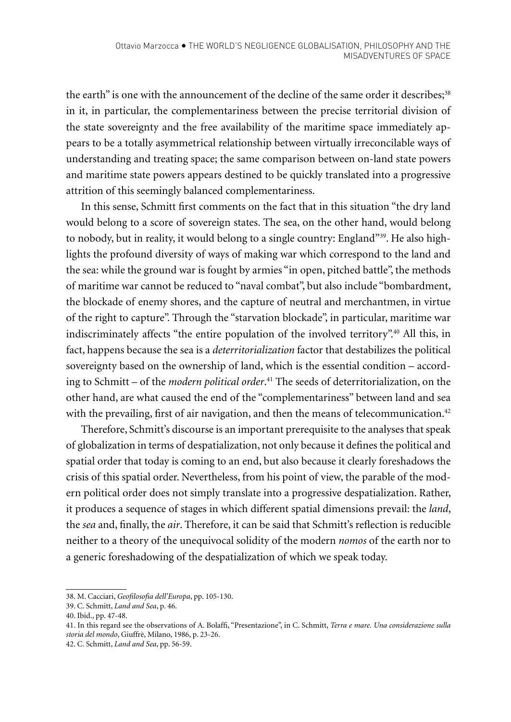the earth" is one with the announcement of the decline of the same order it describes;<sup>38</sup> in it, in particular, the complementariness between the precise territorial division of the state sovereignty and the free availability of the maritime space immediately appears to be a totally asymmetrical relationship between virtually irreconcilable ways of understanding and treating space; the same comparison between on-land state powers and maritime state powers appears destined to be quickly translated into a progressive attrition of this seemingly balanced complementariness.

In this sense, Schmitt first comments on the fact that in this situation "the dry land would belong to a score of sovereign states. The sea, on the other hand, would belong to nobody, but in reality, it would belong to a single country: England"39. He also highlights the profound diversity of ways of making war which correspond to the land and the sea: while the ground war is fought by armies "in open, pitched battle", the methods of maritime war cannot be reduced to "naval combat", but also include "bombardment, the blockade of enemy shores, and the capture of neutral and merchantmen, in virtue of the right to capture". Through the "starvation blockade", in particular, maritime war indiscriminately affects "the entire population of the involved territory".40 All this, in fact, happens because the sea is a *deterritorialization* factor that destabilizes the political sovereignty based on the ownership of land, which is the essential condition – according to Schmitt – of the *modern political order*. 41 The seeds of deterritorialization, on the other hand, are what caused the end of the "complementariness" between land and sea with the prevailing, first of air navigation, and then the means of telecommunication.<sup>42</sup>

Therefore, Schmitt's discourse is an important prerequisite to the analyses that speak of globalization in terms of despatialization, not only because it defines the political and spatial order that today is coming to an end, but also because it clearly foreshadows the crisis of this spatial order. Nevertheless, from his point of view, the parable of the modern political order does not simply translate into a progressive despatialization. Rather, it produces a sequence of stages in which different spatial dimensions prevail: the *land*, the *sea* and, finally, the *air*. Therefore, it can be said that Schmitt's reflection is reducible neither to a theory of the unequivocal solidity of the modern *nomos* of the earth nor to a generic foreshadowing of the despatialization of which we speak today.

<sup>38.</sup> M. Cacciari, *Geofilosofia dell'Europa*, pp. 105-130.

<sup>39.</sup> C. Schmitt, *Land and Sea*, p. 46.

<sup>40.</sup> Ibid., pp. 47-48.

<sup>41.</sup> In this regard see the observations of A. Bolaffi, "Presentazione", in C. Schmitt, *Terra e mare. Una considerazione sulla storia del mondo*, Giuffrè, Milano, 1986, p. 23-26.

<sup>42.</sup> C. Schmitt, *Land and Sea*, pp. 56-59.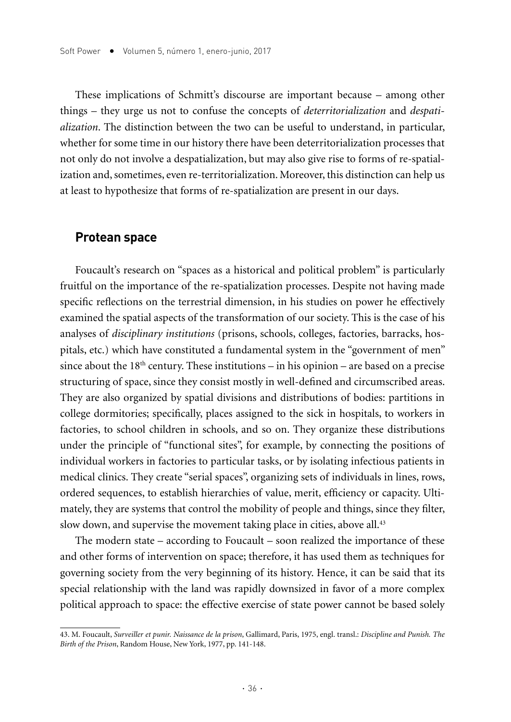These implications of Schmitt's discourse are important because – among other things – they urge us not to confuse the concepts of *deterritorialization* and *despatialization*. The distinction between the two can be useful to understand, in particular, whether for some time in our history there have been deterritorialization processes that not only do not involve a despatialization, but may also give rise to forms of re-spatialization and, sometimes, even re-territorialization. Moreover, this distinction can help us at least to hypothesize that forms of re-spatialization are present in our days.

#### **Protean space**

Foucault's research on "spaces as a historical and political problem" is particularly fruitful on the importance of the re-spatialization processes. Despite not having made specific reflections on the terrestrial dimension, in his studies on power he effectively examined the spatial aspects of the transformation of our society. This is the case of his analyses of *disciplinary institutions* (prisons, schools, colleges, factories, barracks, hospitals, etc.) which have constituted a fundamental system in the "government of men" since about the  $18<sup>th</sup>$  century. These institutions – in his opinion – are based on a precise structuring of space, since they consist mostly in well-defined and circumscribed areas. They are also organized by spatial divisions and distributions of bodies: partitions in college dormitories; specifically, places assigned to the sick in hospitals, to workers in factories, to school children in schools, and so on. They organize these distributions under the principle of "functional sites", for example, by connecting the positions of individual workers in factories to particular tasks, or by isolating infectious patients in medical clinics. They create "serial spaces", organizing sets of individuals in lines, rows, ordered sequences, to establish hierarchies of value, merit, efficiency or capacity. Ultimately, they are systems that control the mobility of people and things, since they filter, slow down, and supervise the movement taking place in cities, above all.<sup>43</sup>

The modern state – according to Foucault – soon realized the importance of these and other forms of intervention on space; therefore, it has used them as techniques for governing society from the very beginning of its history. Hence, it can be said that its special relationship with the land was rapidly downsized in favor of a more complex political approach to space: the effective exercise of state power cannot be based solely

<sup>43.</sup> M. Foucault, *Surveiller et punir. Naissance de la prison*, Gallimard, Paris, 1975, engl. transl.: *Discipline and Punish. The Birth of the Prison*, Random House, New York, 1977, pp. 141-148.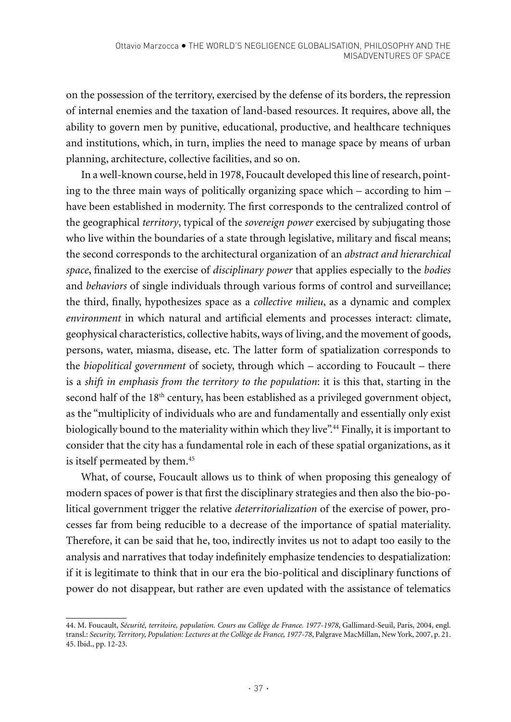on the possession of the territory, exercised by the defense of its borders, the repression of internal enemies and the taxation of land-based resources. It requires, above all, the ability to govern men by punitive, educational, productive, and healthcare techniques and institutions, which, in turn, implies the need to manage space by means of urban planning, architecture, collective facilities, and so on.

In a well-known course, held in 1978, Foucault developed this line of research, pointing to the three main ways of politically organizing space which – according to him – have been established in modernity. The first corresponds to the centralized control of the geographical *territory*, typical of the *sovereign power* exercised by subjugating those who live within the boundaries of a state through legislative, military and fiscal means; the second corresponds to the architectural organization of an *abstract and hierarchical space*, finalized to the exercise of *disciplinary power* that applies especially to the *bodies* and *behaviors* of single individuals through various forms of control and surveillance; the third, finally, hypothesizes space as a *collective milieu*, as a dynamic and complex *environment* in which natural and artificial elements and processes interact: climate, geophysical characteristics, collective habits, ways of living, and the movement of goods, persons, water, miasma, disease, etc. The latter form of spatialization corresponds to the *biopolitical government* of society, through which – according to Foucault – there is a *shift in emphasis from the territory to the population*: it is this that, starting in the second half of the 18th century, has been established as a privileged government object, as the "multiplicity of individuals who are and fundamentally and essentially only exist biologically bound to the materiality within which they live".44 Finally, it is important to consider that the city has a fundamental role in each of these spatial organizations, as it is itself permeated by them.<sup>45</sup>

What, of course, Foucault allows us to think of when proposing this genealogy of modern spaces of power is that first the disciplinary strategies and then also the bio-political government trigger the relative *deterritorialization* of the exercise of power, processes far from being reducible to a decrease of the importance of spatial materiality. Therefore, it can be said that he, too, indirectly invites us not to adapt too easily to the analysis and narratives that today indefinitely emphasize tendencies to despatialization: if it is legitimate to think that in our era the bio-political and disciplinary functions of power do not disappear, but rather are even updated with the assistance of telematics

<sup>44.</sup> M. Foucault, *Sécurité, territoire, population. Cours au Collège de France. 1977-1978*, Gallimard-Seuil, Paris, 2004, engl. transl.: *Security, Territory, Population: Lectures at the Collège de France, 1977-78*, Palgrave MacMillan, New York, 2007, p. 21. 45. Ibid., pp. 12-23.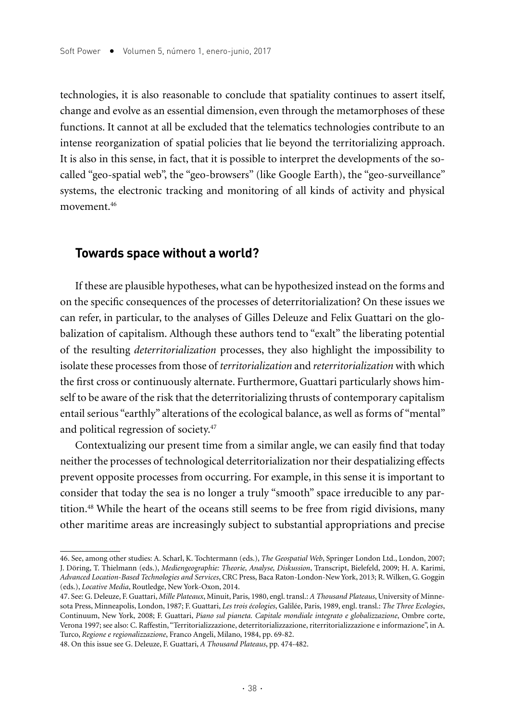technologies, it is also reasonable to conclude that spatiality continues to assert itself, change and evolve as an essential dimension, even through the metamorphoses of these functions. It cannot at all be excluded that the telematics technologies contribute to an intense reorganization of spatial policies that lie beyond the territorializing approach. It is also in this sense, in fact, that it is possible to interpret the developments of the socalled "geo-spatial web", the "geo-browsers" (like Google Earth), the "geo-surveillance" systems, the electronic tracking and monitoring of all kinds of activity and physical movement.46

#### **Towards space without a world?**

If these are plausible hypotheses, what can be hypothesized instead on the forms and on the specific consequences of the processes of deterritorialization? On these issues we can refer, in particular, to the analyses of Gilles Deleuze and Felix Guattari on the globalization of capitalism. Although these authors tend to "exalt" the liberating potential of the resulting *deterritorialization* processes, they also highlight the impossibility to isolate these processes from those of *territorialization* and *reterritorialization* with which the first cross or continuously alternate. Furthermore, Guattari particularly shows himself to be aware of the risk that the deterritorializing thrusts of contemporary capitalism entail serious "earthly" alterations of the ecological balance, as well as forms of "mental" and political regression of society.47

Contextualizing our present time from a similar angle, we can easily find that today neither the processes of technological deterritorialization nor their despatializing effects prevent opposite processes from occurring. For example, in this sense it is important to consider that today the sea is no longer a truly "smooth" space irreducible to any partition.48 While the heart of the oceans still seems to be free from rigid divisions, many other maritime areas are increasingly subject to substantial appropriations and precise

<sup>46.</sup> See, among other studies: A. Scharl, K. Tochtermann (eds.), *The Geospatial Web*, Springer London Ltd., London, 2007; J. Döring, T. Thielmann (eds.), *Mediengeographie: Theorie, Analyse, Diskussion*, Transcript, Bielefeld, 2009; H. A. Karimi, *Advanced Location-Based Technologies and Services*, CRC Press, Baca Raton-London-New York, 2013; R. Wilken, G. Goggin (eds.), *Locative Media*, Routledge, New York-Oxon, 2014.

<sup>47.</sup> See: G. Deleuze, F. Guattari, *Mille Plateaux*, Minuit, Paris, 1980, engl. transl.: *A Thousand Plateaus*, University of Minnesota Press, Minneapolis, London, 1987; F. Guattari, *Les trois écologies*, Galilée, Paris, 1989, engl. transl.: *The Three Ecologies*, Continuum, New York, 2008; F. Guattari, *Piano sul pianeta. Capitale mondiale integrato e globalizzazione*, Ombre corte, Verona 1997; see also: C. Raffestin, "Territorializzazione, deterritorializzazione, riterritorializzazione e informazione", in A. Turco, *Regione e regionalizzazione*, Franco Angeli, Milano, 1984, pp. 69-82.

<sup>48.</sup> On this issue see G. Deleuze, F. Guattari, *A Thousand Plateaus*, pp. 474-482.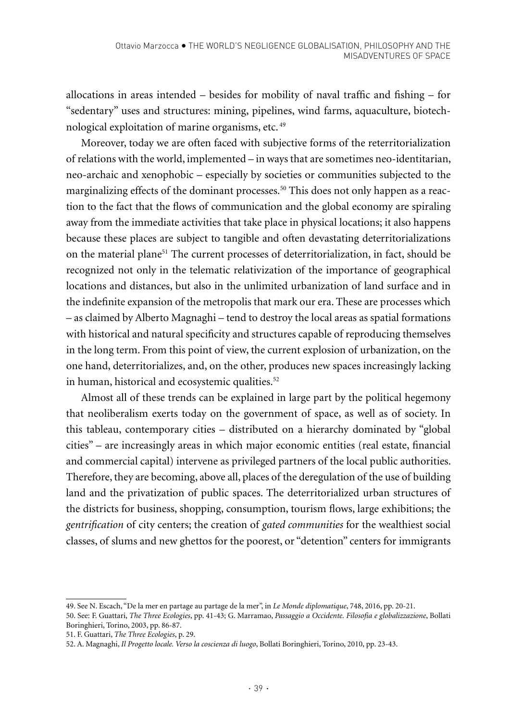allocations in areas intended – besides for mobility of naval traffic and fishing – for "sedentary" uses and structures: mining, pipelines, wind farms, aquaculture, biotechnological exploitation of marine organisms, etc. 49

Moreover, today we are often faced with subjective forms of the reterritorialization of relations with the world, implemented – in ways that are sometimes neo-identitarian, neo-archaic and xenophobic – especially by societies or communities subjected to the marginalizing effects of the dominant processes.<sup>50</sup> This does not only happen as a reaction to the fact that the flows of communication and the global economy are spiraling away from the immediate activities that take place in physical locations; it also happens because these places are subject to tangible and often devastating deterritorializations on the material plane<sup>51</sup> The current processes of deterritorialization, in fact, should be recognized not only in the telematic relativization of the importance of geographical locations and distances, but also in the unlimited urbanization of land surface and in the indefinite expansion of the metropolis that mark our era. These are processes which – as claimed by Alberto Magnaghi – tend to destroy the local areas as spatial formations with historical and natural specificity and structures capable of reproducing themselves in the long term. From this point of view, the current explosion of urbanization, on the one hand, deterritorializes, and, on the other, produces new spaces increasingly lacking in human, historical and ecosystemic qualities.<sup>52</sup>

Almost all of these trends can be explained in large part by the political hegemony that neoliberalism exerts today on the government of space, as well as of society. In this tableau, contemporary cities – distributed on a hierarchy dominated by "global cities" – are increasingly areas in which major economic entities (real estate, financial and commercial capital) intervene as privileged partners of the local public authorities. Therefore, they are becoming, above all, places of the deregulation of the use of building land and the privatization of public spaces. The deterritorialized urban structures of the districts for business, shopping, consumption, tourism flows, large exhibitions; the *gentrification* of city centers; the creation of *gated communities* for the wealthiest social classes, of slums and new ghettos for the poorest, or "detention" centers for immigrants

<sup>49.</sup> See N. Escach, "De la mer en partage au partage de la mer", in *Le Monde diplomatique*, 748, 2016, pp. 20-21.

<sup>50.</sup> See: F. Guattari, *The Three Ecologies*, pp. 41-43; G. Marramao, *Passaggio a Occidente. Filosofia e globalizzazione*, Bollati Boringhieri, Torino, 2003, pp. 86-87.

<sup>51.</sup> F. Guattari, *The Three Ecologies*, p. 29.

<sup>52.</sup> A. Magnaghi, *Il Progetto locale. Verso la coscienza di luogo*, Bollati Boringhieri, Torino, 2010, pp. 23-43.